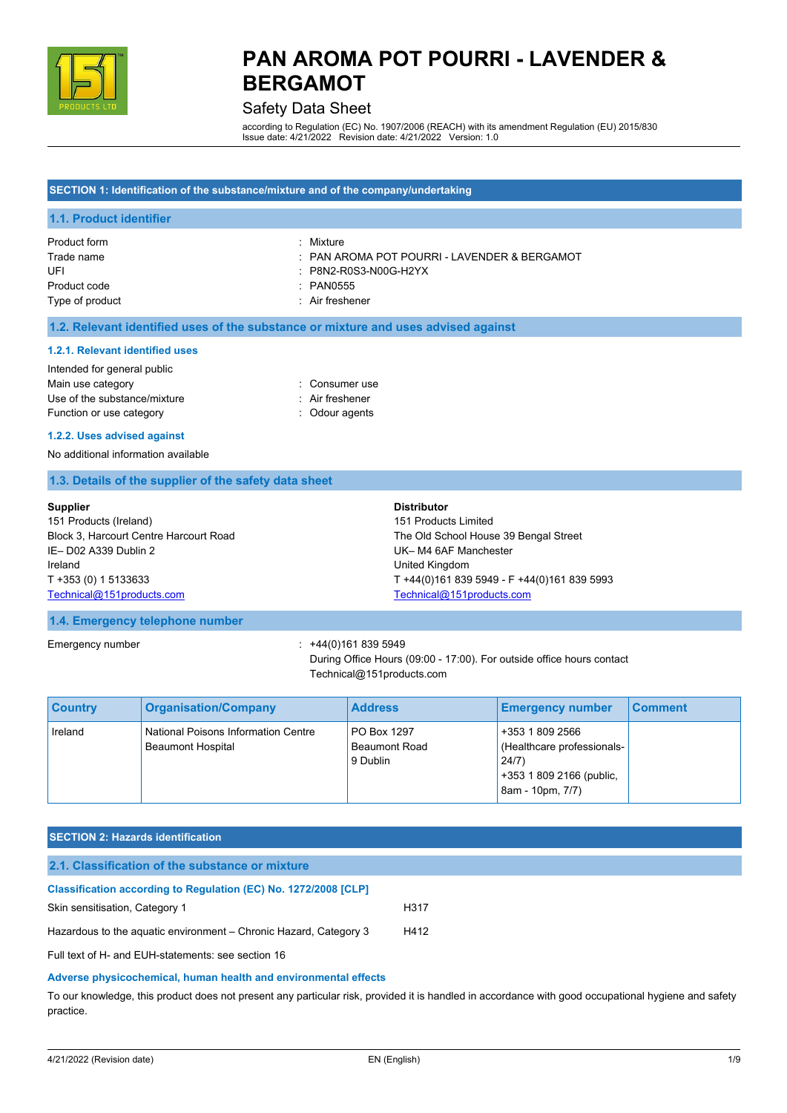

## Safety Data Sheet

according to Regulation (EC) No. 1907/2006 (REACH) with its amendment Regulation (EU) 2015/830 Issue date: 4/21/2022 Revision date: 4/21/2022 Version: 1.0

## **SECTION 1: Identification of the substance/mixture and of the company/undertaking 1.1. Product identifier** Product form **: Mixture** Trade name : PAN AROMA POT POURRI - LAVENDER & BERGAMOT UFI : P8N2-R0S3-N00G-H2YX Product code : PAN0555 Type of product in the state of product in the state of product in the state of  $\mathcal{A}$  and  $\mathcal{A}$  are the state of  $\mathcal{A}$  and  $\mathcal{A}$  are the state of  $\mathcal{A}$  and  $\mathcal{A}$  are the state of  $\mathcal{A}$  and  $\mathcal{A}$  are **1.2. Relevant identified uses of the substance or mixture and uses advised against 1.2.1. Relevant identified uses** Intended for general public Main use category **Example 20** and 20 and 20 and 20 and 20 and 20 and 20 and 20 and 20 and 20 and 20 and 20 and 20 and 20 and 20 and 20 and 20 and 20 and 20 and 20 and 20 and 20 and 20 and 20 and 20 and 20 and 20 and 20 an Use of the substance/mixture in the substance in the set of the substance in the set of the substance in the substance in the set of the substance in the substance in the set of the set of the set of the set of the set of Function or use category **Exercise 20** and the Colour agents **1.2.2. Uses advised against** No additional information available **1.3. Details of the supplier of the safety data sheet Supplier** 151 Products (Ireland) Block 3, Harcourt Centre Harcourt Road **Distributor** 151 Products Limited The Old School House 39 Bengal Street

IE– D02 A339 Dublin 2 Ireland T +353 (0) 1 5133633 [Technical@151products.com](mailto:Technical@151products.com) UK– M4 6AF Manchester United Kingdom T +44(0)161 839 5949 - F +44(0)161 839 5993 [Technical@151products.com](mailto:Technical@151products.com)

#### **1.4. Emergency telephone number**

Emergency number : +44(0)161 839 5949

During Office Hours (09:00 - 17:00). For outside office hours contact Technical@151products.com

| <b>Country</b> | <b>Organisation/Company</b>                                     | <b>Address</b>                                  | <b>Emergency number</b>                                                                                | <b>Comment</b> |
|----------------|-----------------------------------------------------------------|-------------------------------------------------|--------------------------------------------------------------------------------------------------------|----------------|
| Ireland        | National Poisons Information Centre<br><b>Beaumont Hospital</b> | PO Box 1297<br><b>Beaumont Road</b><br>9 Dublin | +353 1 809 2566<br>(Healthcare professionals-<br>24/7)<br>+353 1 809 2166 (public,<br>8am - 10pm, 7/7) |                |

### **SECTION 2: Hazards identification**

| 2.1. Classification of the substance or mixture                        |      |
|------------------------------------------------------------------------|------|
| <b>Classification according to Regulation (EC) No. 1272/2008 [CLP]</b> |      |
| Skin sensitisation, Category 1                                         | H317 |
| Hazardous to the aquatic environment – Chronic Hazard, Category 3      | H412 |
| Full text of H- and EUH-statements: see section 16                     |      |

#### **Adverse physicochemical, human health and environmental effects**

To our knowledge, this product does not present any particular risk, provided it is handled in accordance with good occupational hygiene and safety practice.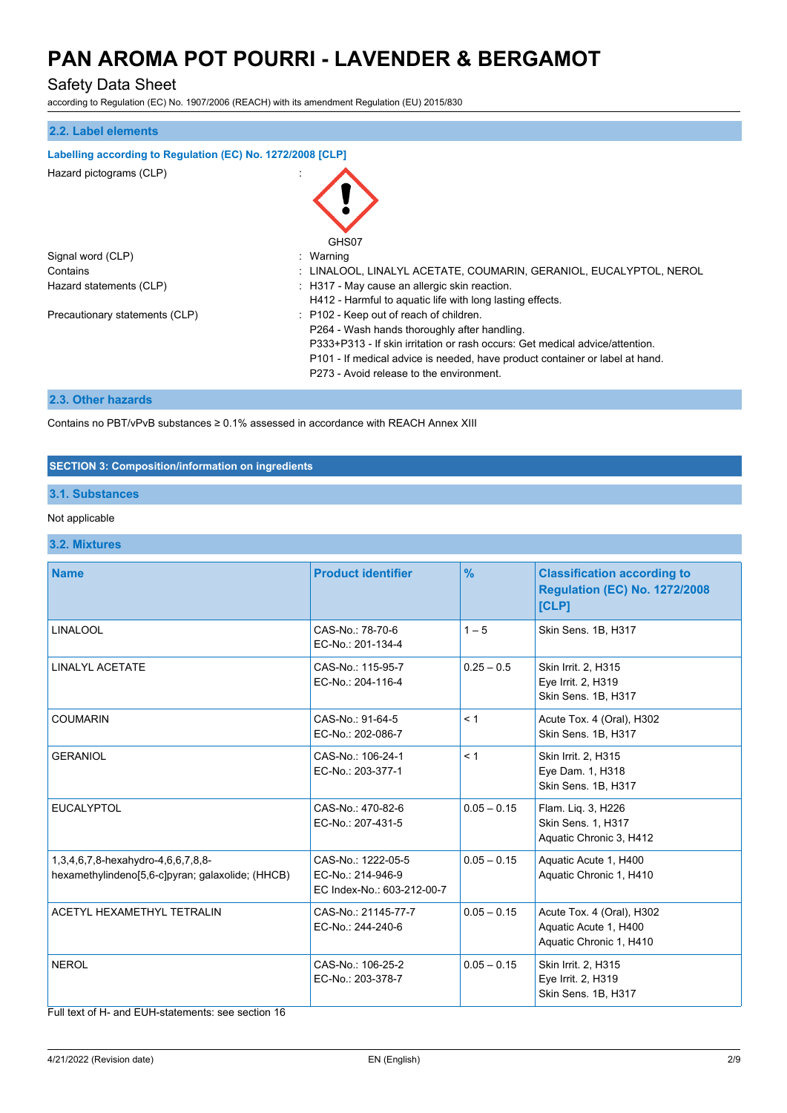## Safety Data Sheet

according to Regulation (EC) No. 1907/2006 (REACH) with its amendment Regulation (EU) 2015/830

| 2.2. Label elements                                        |                                                                                                                                                                                                                                                                                                    |
|------------------------------------------------------------|----------------------------------------------------------------------------------------------------------------------------------------------------------------------------------------------------------------------------------------------------------------------------------------------------|
| Labelling according to Regulation (EC) No. 1272/2008 [CLP] |                                                                                                                                                                                                                                                                                                    |
| Hazard pictograms (CLP)                                    | GHS07                                                                                                                                                                                                                                                                                              |
| Signal word (CLP)                                          | : Warning                                                                                                                                                                                                                                                                                          |
| Contains                                                   | : LINALOOL, LINALYL ACETATE, COUMARIN, GERANIOL, EUCALYPTOL, NEROL                                                                                                                                                                                                                                 |
| Hazard statements (CLP)                                    | : H317 - May cause an allergic skin reaction.<br>H412 - Harmful to aquatic life with long lasting effects.                                                                                                                                                                                         |
| Precautionary statements (CLP)                             | : P102 - Keep out of reach of children.<br>P264 - Wash hands thoroughly after handling.<br>P333+P313 - If skin irritation or rash occurs: Get medical advice/attention.<br>P101 - If medical advice is needed, have product container or label at hand.<br>P273 - Avoid release to the environment |

## **2.3. Other hazards**

Contains no PBT/vPvB substances ≥ 0.1% assessed in accordance with REACH Annex XIII

### **SECTION 3: Composition/information on ingredients**

### **3.1. Substances**

## Not applicable

### **3.2. Mixtures**

| <b>Name</b>                                                                            | <b>Product identifier</b>                                             | $\frac{9}{6}$ | <b>Classification according to</b><br><b>Regulation (EC) No. 1272/2008</b><br>[CLP] |
|----------------------------------------------------------------------------------------|-----------------------------------------------------------------------|---------------|-------------------------------------------------------------------------------------|
| <b>LINALOOL</b>                                                                        | CAS-No.: 78-70-6<br>EC-No.: 201-134-4                                 | $1 - 5$       | Skin Sens. 1B, H317                                                                 |
| LINALYL ACETATE                                                                        | CAS-No.: 115-95-7<br>EC-No.: 204-116-4                                | $0.25 - 0.5$  | Skin Irrit. 2, H315<br>Eye Irrit. 2, H319<br>Skin Sens. 1B, H317                    |
| <b>COUMARIN</b>                                                                        | CAS-No.: 91-64-5<br>EC-No.: 202-086-7                                 | < 1           | Acute Tox. 4 (Oral), H302<br>Skin Sens. 1B, H317                                    |
| <b>GERANIOL</b>                                                                        | CAS-No.: 106-24-1<br>EC-No.: 203-377-1                                | < 1           | Skin Irrit. 2, H315<br>Eye Dam. 1, H318<br>Skin Sens. 1B, H317                      |
| <b>EUCALYPTOL</b>                                                                      | CAS-No.: 470-82-6<br>EC-No.: 207-431-5                                | $0.05 - 0.15$ | Flam. Liq. 3, H226<br>Skin Sens. 1, H317<br>Aquatic Chronic 3, H412                 |
| 1,3,4,6,7,8-hexahydro-4,6,6,7,8,8-<br>hexamethylindeno[5,6-c]pyran; galaxolide; (HHCB) | CAS-No.: 1222-05-5<br>EC-No.: 214-946-9<br>EC Index-No.: 603-212-00-7 | $0.05 - 0.15$ | Aquatic Acute 1, H400<br>Aquatic Chronic 1, H410                                    |
| ACETYL HEXAMETHYL TETRALIN                                                             | CAS-No.: 21145-77-7<br>EC-No.: 244-240-6                              | $0.05 - 0.15$ | Acute Tox. 4 (Oral), H302<br>Aquatic Acute 1, H400<br>Aquatic Chronic 1, H410       |
| <b>NEROL</b>                                                                           | CAS-No.: 106-25-2<br>EC-No.: 203-378-7                                | $0.05 - 0.15$ | Skin Irrit. 2, H315<br>Eye Irrit. 2, H319<br>Skin Sens. 1B, H317                    |

Full text of H- and EUH-statements: see section 16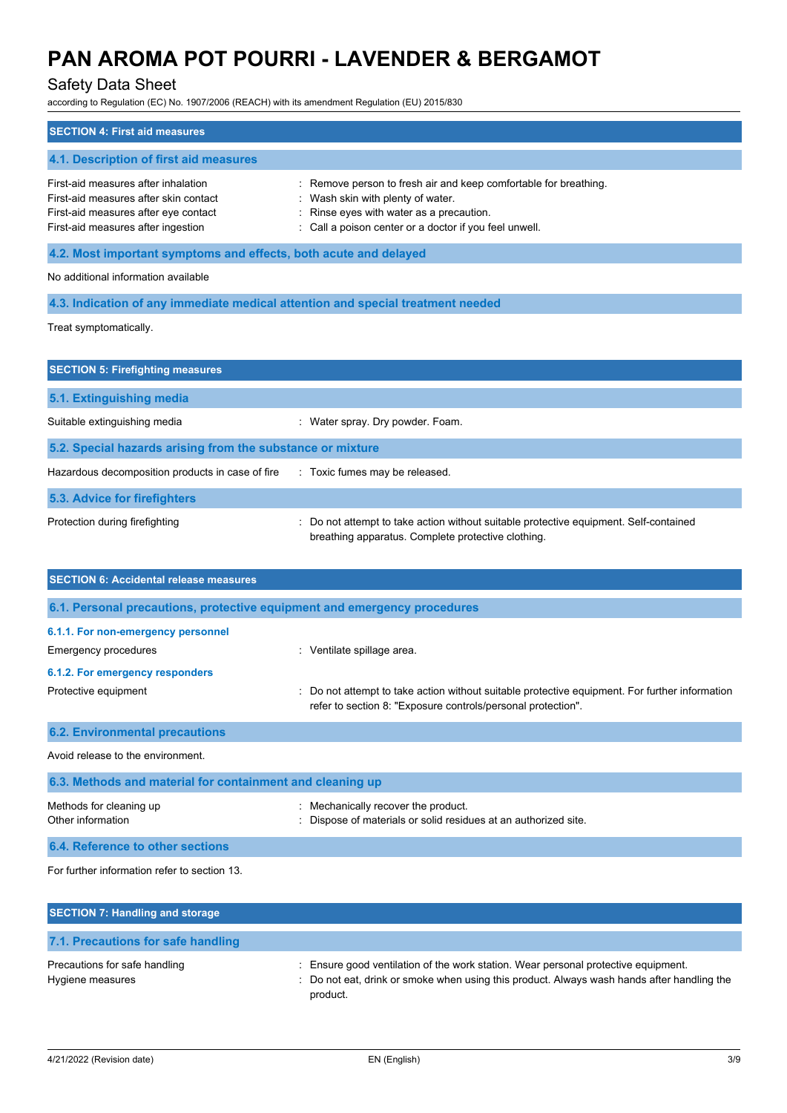## Safety Data Sheet

according to Regulation (EC) No. 1907/2006 (REACH) with its amendment Regulation (EU) 2015/830

| according to Regulation (EC) No. 1907/2006 (REACH) with its amendment Regulation (EU) 2015/830                                                             |                                                                                                                                                                                                     |
|------------------------------------------------------------------------------------------------------------------------------------------------------------|-----------------------------------------------------------------------------------------------------------------------------------------------------------------------------------------------------|
| <b>SECTION 4: First aid measures</b>                                                                                                                       |                                                                                                                                                                                                     |
| 4.1. Description of first aid measures                                                                                                                     |                                                                                                                                                                                                     |
| First-aid measures after inhalation<br>First-aid measures after skin contact<br>First-aid measures after eye contact<br>First-aid measures after ingestion | Remove person to fresh air and keep comfortable for breathing.<br>Wash skin with plenty of water.<br>Rinse eyes with water as a precaution.<br>Call a poison center or a doctor if you feel unwell. |
| 4.2. Most important symptoms and effects, both acute and delayed                                                                                           |                                                                                                                                                                                                     |
| No additional information available                                                                                                                        |                                                                                                                                                                                                     |
| 4.3. Indication of any immediate medical attention and special treatment needed                                                                            |                                                                                                                                                                                                     |
| Treat symptomatically.                                                                                                                                     |                                                                                                                                                                                                     |
| <b>SECTION 5: Firefighting measures</b>                                                                                                                    |                                                                                                                                                                                                     |
| 5.1. Extinguishing media                                                                                                                                   |                                                                                                                                                                                                     |
| Suitable extinguishing media                                                                                                                               | : Water spray. Dry powder. Foam.                                                                                                                                                                    |
| 5.2. Special hazards arising from the substance or mixture                                                                                                 |                                                                                                                                                                                                     |
| Hazardous decomposition products in case of fire                                                                                                           | : Toxic fumes may be released.                                                                                                                                                                      |
| 5.3. Advice for firefighters                                                                                                                               |                                                                                                                                                                                                     |
| Protection during firefighting                                                                                                                             | Do not attempt to take action without suitable protective equipment. Self-contained<br>breathing apparatus. Complete protective clothing.                                                           |
| <b>SECTION 6: Accidental release measures</b>                                                                                                              |                                                                                                                                                                                                     |
| 6.1. Personal precautions, protective equipment and emergency procedures                                                                                   |                                                                                                                                                                                                     |
| 6.1.1. For non-emergency personnel                                                                                                                         |                                                                                                                                                                                                     |
| <b>Emergency procedures</b>                                                                                                                                | : Ventilate spillage area.                                                                                                                                                                          |
| 6.1.2. For emergency responders                                                                                                                            |                                                                                                                                                                                                     |
| Protective equipment                                                                                                                                       | Do not attempt to take action without suitable protective equipment. For further information                                                                                                        |

|  | refer to section 8: "Exposure controls/personal protection". |  |
|--|--------------------------------------------------------------|--|

| <b>6.2. Environmental precautions</b>                     |                                                                                                        |  |  |
|-----------------------------------------------------------|--------------------------------------------------------------------------------------------------------|--|--|
| Avoid release to the environment.                         |                                                                                                        |  |  |
| 6.3. Methods and material for containment and cleaning up |                                                                                                        |  |  |
| Methods for cleaning up<br>Other information              | : Mechanically recover the product.<br>: Dispose of materials or solid residues at an authorized site. |  |  |

**6.4. Reference to other sections**

For further information refer to section 13.

| SECTION 7: Handling and storage                   |                                                                                                                                                                                              |
|---------------------------------------------------|----------------------------------------------------------------------------------------------------------------------------------------------------------------------------------------------|
| 7.1. Precautions for safe handling                |                                                                                                                                                                                              |
| Precautions for safe handling<br>Hygiene measures | : Ensure good ventilation of the work station. Wear personal protective equipment.<br>: Do not eat, drink or smoke when using this product. Always wash hands after handling the<br>product. |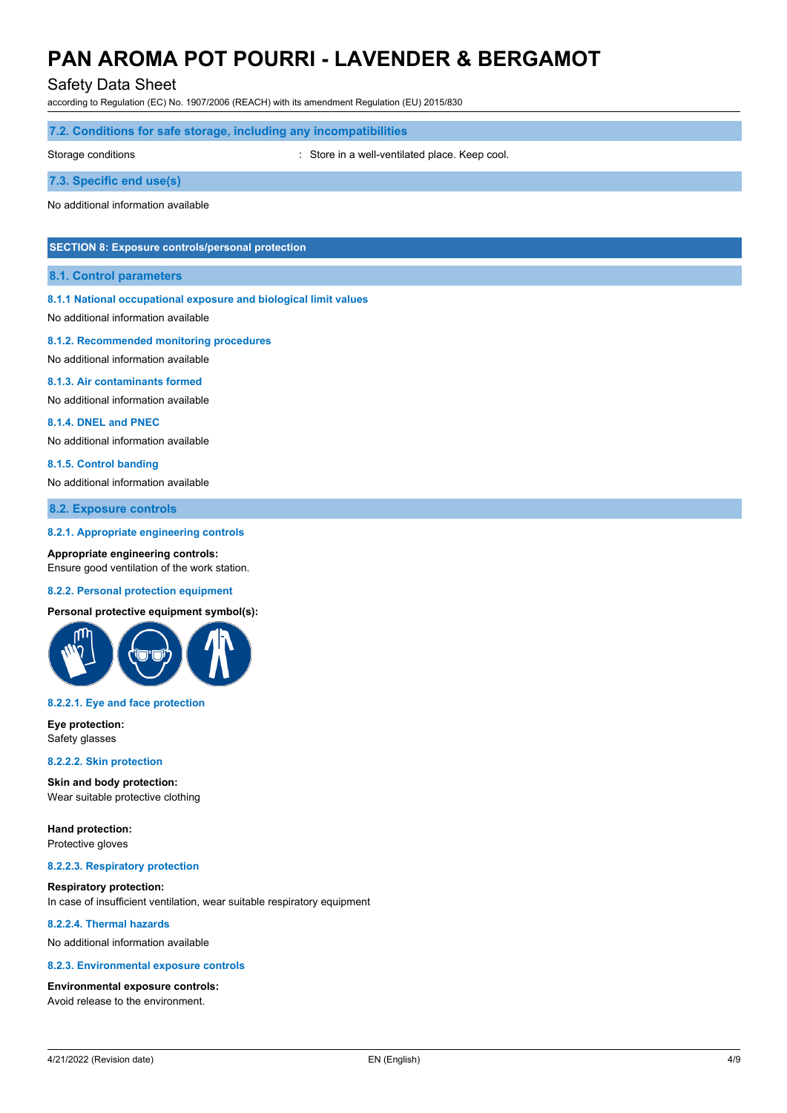Safety Data Sheet

according to Regulation (EC) No. 1907/2006 (REACH) with its amendment Regulation (EU) 2015/830

### **7.2. Conditions for safe storage, including any incompatibilities**

Storage conditions **Storage conditions** : Store in a well-ventilated place. Keep cool.

**7.3. Specific end use(s)**

No additional information available

## **SECTION 8: Exposure controls/personal protection**

#### **8.1. Control parameters**

#### **8.1.1 National occupational exposure and biological limit values**

No additional information available

#### **8.1.2. Recommended monitoring procedures**

No additional information available

#### **8.1.3. Air contaminants formed**

No additional information available

#### **8.1.4. DNEL and PNEC**

No additional information available

#### **8.1.5. Control banding**

No additional information available

#### **8.2. Exposure controls**

#### **8.2.1. Appropriate engineering controls**

**Appropriate engineering controls:** Ensure good ventilation of the work station.

#### **8.2.2. Personal protection equipment**

#### **Personal protective equipment symbol(s):**



#### **8.2.2.1. Eye and face protection**

**Eye protection:** Safety glasses

## **8.2.2.2. Skin protection**

**Skin and body protection:** Wear suitable protective clothing

**Hand protection:** Protective gloves

#### **8.2.2.3. Respiratory protection**

#### **Respiratory protection:** In case of insufficient ventilation, wear suitable respiratory equipment

**8.2.2.4. Thermal hazards**

No additional information available

#### **8.2.3. Environmental exposure controls**

#### **Environmental exposure controls:**

Avoid release to the environment.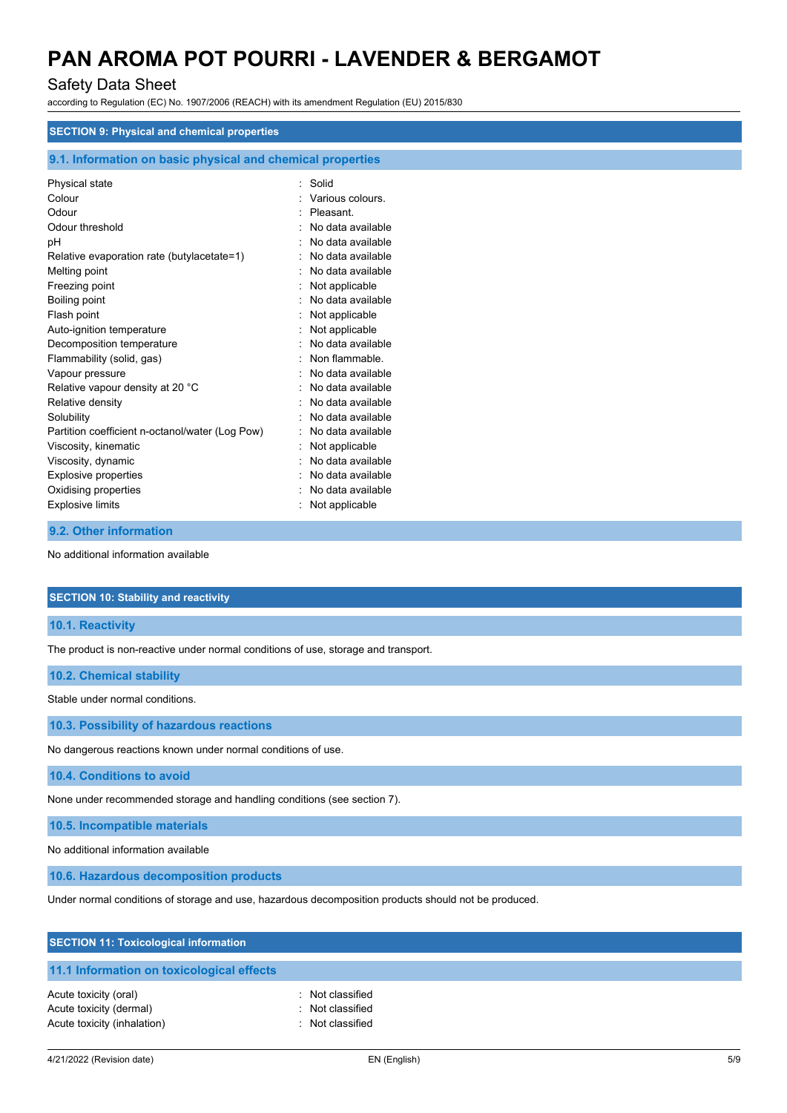## Safety Data Sheet

according to Regulation (EC) No. 1907/2006 (REACH) with its amendment Regulation (EU) 2015/830

| <b>SECTION 9: Physical and chemical properties</b>         |                   |
|------------------------------------------------------------|-------------------|
| 9.1. Information on basic physical and chemical properties |                   |
| Physical state                                             | Solid             |
| Colour                                                     | Various colours.  |
| Odour                                                      | Pleasant.         |
| Odour threshold                                            | No data available |
| рH                                                         | No data available |
| Relative evaporation rate (butylacetate=1)                 | No data available |
| Melting point                                              | No data available |
| Freezing point                                             | Not applicable    |
| Boiling point                                              | No data available |
| Flash point                                                | Not applicable    |
| Auto-ignition temperature                                  | Not applicable    |
| Decomposition temperature                                  | No data available |
| Flammability (solid, gas)                                  | Non flammable.    |
| Vapour pressure                                            | No data available |
| Relative vapour density at 20 °C                           | No data available |
| Relative density                                           | No data available |
| Solubility                                                 | No data available |
| Partition coefficient n-octanol/water (Log Pow)            | No data available |
| Viscosity, kinematic                                       | Not applicable    |
| Viscosity, dynamic                                         | No data available |
| Explosive properties                                       | No data available |
| Oxidising properties                                       | No data available |
| <b>Explosive limits</b>                                    | Not applicable    |

#### **9.2. Other information**

No additional information available

#### **SECTION 10: Stability and reactivity**

**10.1. Reactivity**

The product is non-reactive under normal conditions of use, storage and transport.

#### **10.2. Chemical stability**

Stable under normal conditions.

**10.3. Possibility of hazardous reactions**

No dangerous reactions known under normal conditions of use.

**10.4. Conditions to avoid**

None under recommended storage and handling conditions (see section 7).

**10.5. Incompatible materials**

No additional information available

**10.6. Hazardous decomposition products**

Under normal conditions of storage and use, hazardous decomposition products should not be produced.

|  |  | <b>SECTION 11: Toxicological information</b> |  |
|--|--|----------------------------------------------|--|
|--|--|----------------------------------------------|--|

## **11.1 Information on toxicological effects**

Acute toxicity (oral) **Example 2** Contract 2 Contract 2 Contract 2 Contract 2 Contract 2 Contract 2 Contract 2 Contract 2 Contract 2 Contract 2 Contract 2 Contract 2 Contract 2 Contract 2 Contract 2 Contract 2 Contract 2 C Acute toxicity (dermal) **Example 20** Acute toxicity (dermal) Acute toxicity (inhalation) **induces**  $\vdots$  Not classified

- 
- 
-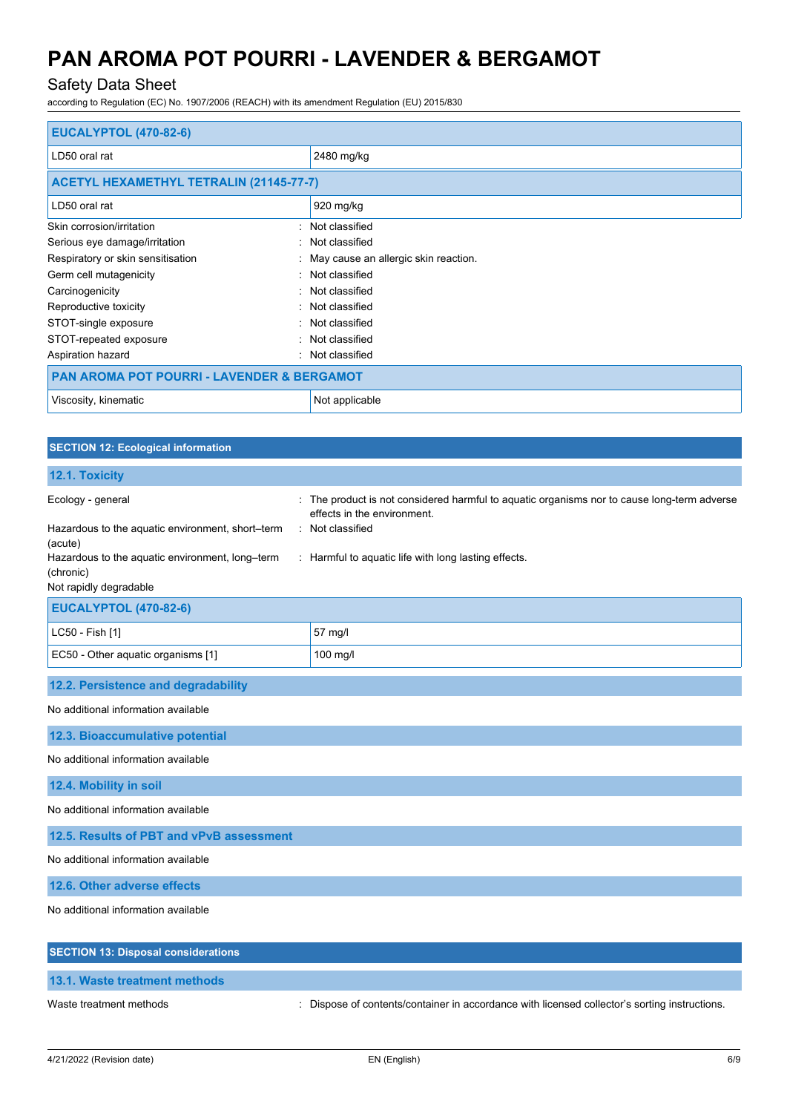## Safety Data Sheet

according to Regulation (EC) No. 1907/2006 (REACH) with its amendment Regulation (EU) 2015/830

| <b>EUCALYPTOL (470-82-6)</b>                   |                                        |  |
|------------------------------------------------|----------------------------------------|--|
| LD50 oral rat                                  | 2480 mg/kg                             |  |
| <b>ACETYL HEXAMETHYL TETRALIN (21145-77-7)</b> |                                        |  |
| LD50 oral rat                                  | 920 mg/kg                              |  |
| Skin corrosion/irritation                      | : Not classified                       |  |
| Serious eye damage/irritation                  | : Not classified                       |  |
| Respiratory or skin sensitisation              | : May cause an allergic skin reaction. |  |
| Germ cell mutagenicity                         | : Not classified                       |  |
| Carcinogenicity                                | : Not classified                       |  |
| Reproductive toxicity                          | : Not classified                       |  |
| STOT-single exposure                           | : Not classified                       |  |
| STOT-repeated exposure                         | : Not classified                       |  |
| Aspiration hazard<br>$\bullet$                 | Not classified                         |  |
| PAN AROMA POT POURRI - LAVENDER & BERGAMOT     |                                        |  |
| Viscosity, kinematic                           | Not applicable                         |  |

| <b>SECTION 12: Ecological information</b>                    |                                                                                                                           |
|--------------------------------------------------------------|---------------------------------------------------------------------------------------------------------------------------|
| 12.1. Toxicity                                               |                                                                                                                           |
| Ecology - general                                            | : The product is not considered harmful to aquatic organisms nor to cause long-term adverse<br>effects in the environment |
| Hazardous to the aquatic environment, short-term<br>(acute)  | : Not classified                                                                                                          |
| Hazardous to the aquatic environment, long-term<br>(chronic) | : Harmful to aquatic life with long lasting effects.                                                                      |
| Not rapidly degradable                                       |                                                                                                                           |
| <b>EUCALYPTOL (470-82-6)</b>                                 |                                                                                                                           |
| LC50 - Fish [1]                                              | 57 mg/l                                                                                                                   |
| EC50 - Other aquatic organisms [1]                           | $100$ mg/l                                                                                                                |
| 12.2. Persistence and degradability                          |                                                                                                                           |
| No additional information available                          |                                                                                                                           |
| <b>12.3. Bioaccumulative potential</b>                       |                                                                                                                           |
| No additional information available                          |                                                                                                                           |

**12.4. Mobility in soil**

No additional information available

**12.5. Results of PBT and vPvB assessment**

No additional information available

**12.6. Other adverse effects**

No additional information available

| <b>SECTION 13: Disposal considerations</b> |                                                                                               |
|--------------------------------------------|-----------------------------------------------------------------------------------------------|
| 13.1. Waste treatment methods              |                                                                                               |
| Waste treatment methods                    | : Dispose of contents/container in accordance with licensed collector's sorting instructions. |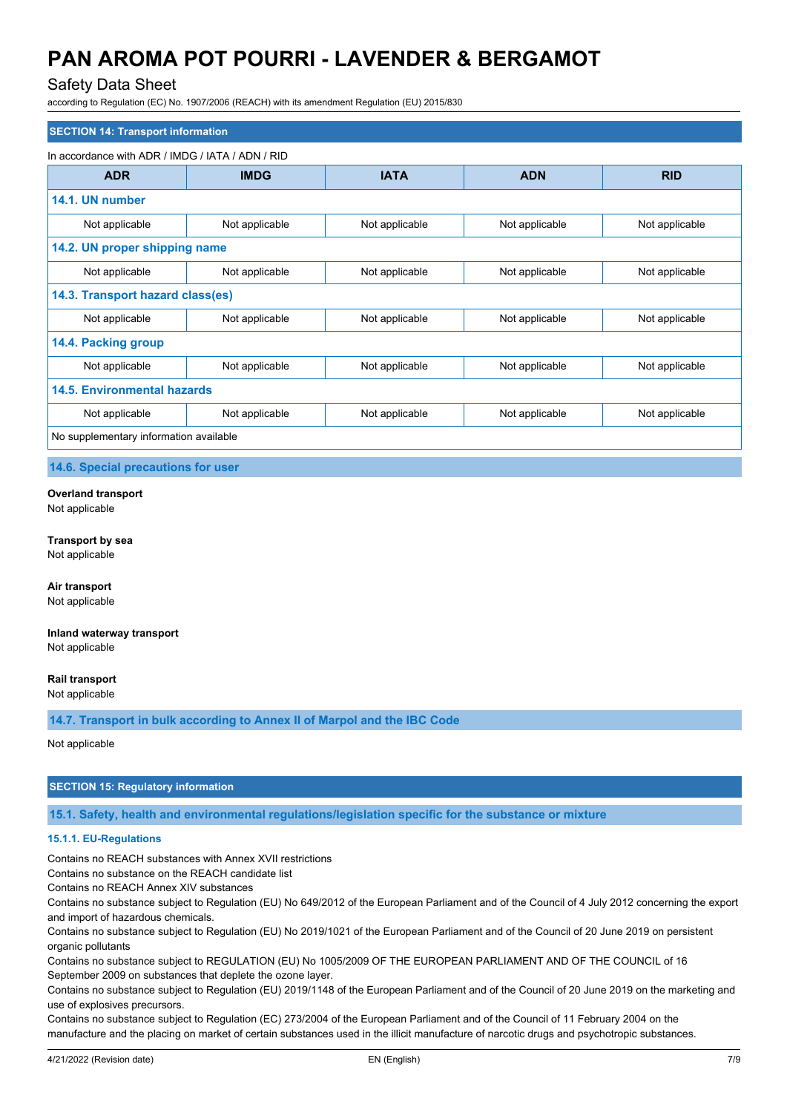## Safety Data Sheet

according to Regulation (EC) No. 1907/2006 (REACH) with its amendment Regulation (EU) 2015/830

| <b>SECTION 14: Transport information</b>         |                |                |                |                |
|--------------------------------------------------|----------------|----------------|----------------|----------------|
| In accordance with ADR / IMDG / IATA / ADN / RID |                |                |                |                |
| <b>ADR</b>                                       | <b>IMDG</b>    | <b>IATA</b>    | <b>ADN</b>     | <b>RID</b>     |
| 14.1. UN number                                  |                |                |                |                |
| Not applicable                                   | Not applicable | Not applicable | Not applicable | Not applicable |
| 14.2. UN proper shipping name                    |                |                |                |                |
| Not applicable                                   | Not applicable | Not applicable | Not applicable | Not applicable |
| 14.3. Transport hazard class(es)                 |                |                |                |                |
| Not applicable                                   | Not applicable | Not applicable | Not applicable | Not applicable |
| 14.4. Packing group                              |                |                |                |                |
| Not applicable                                   | Not applicable | Not applicable | Not applicable | Not applicable |
| <b>14.5. Environmental hazards</b>               |                |                |                |                |
| Not applicable                                   | Not applicable | Not applicable | Not applicable | Not applicable |
| No supplementary information available           |                |                |                |                |

**14.6. Special precautions for user**

#### **Overland transport**

Not applicable

#### **Transport by sea**

Not applicable

**Air transport** Not applicable

#### **Inland waterway transport** Not applicable

**Rail transport**

Not applicable

**14.7. Transport in bulk according to Annex II of Marpol and the IBC Code**

Not applicable

## **SECTION 15: Regulatory information**

**15.1. Safety, health and environmental regulations/legislation specific for the substance or mixture**

### **15.1.1. EU-Regulations**

Contains no REACH substances with Annex XVII restrictions

Contains no substance on the REACH candidate list

Contains no REACH Annex XIV substances

Contains no substance subject to Regulation (EU) No 649/2012 of the European Parliament and of the Council of 4 July 2012 concerning the export and import of hazardous chemicals.

Contains no substance subject to Regulation (EU) No 2019/1021 of the European Parliament and of the Council of 20 June 2019 on persistent organic pollutants

Contains no substance subject to REGULATION (EU) No 1005/2009 OF THE EUROPEAN PARLIAMENT AND OF THE COUNCIL of 16 September 2009 on substances that deplete the ozone layer.

Contains no substance subject to Regulation (EU) 2019/1148 of the European Parliament and of the Council of 20 June 2019 on the marketing and use of explosives precursors.

Contains no substance subject to Regulation (EC) 273/2004 of the European Parliament and of the Council of 11 February 2004 on the manufacture and the placing on market of certain substances used in the illicit manufacture of narcotic drugs and psychotropic substances.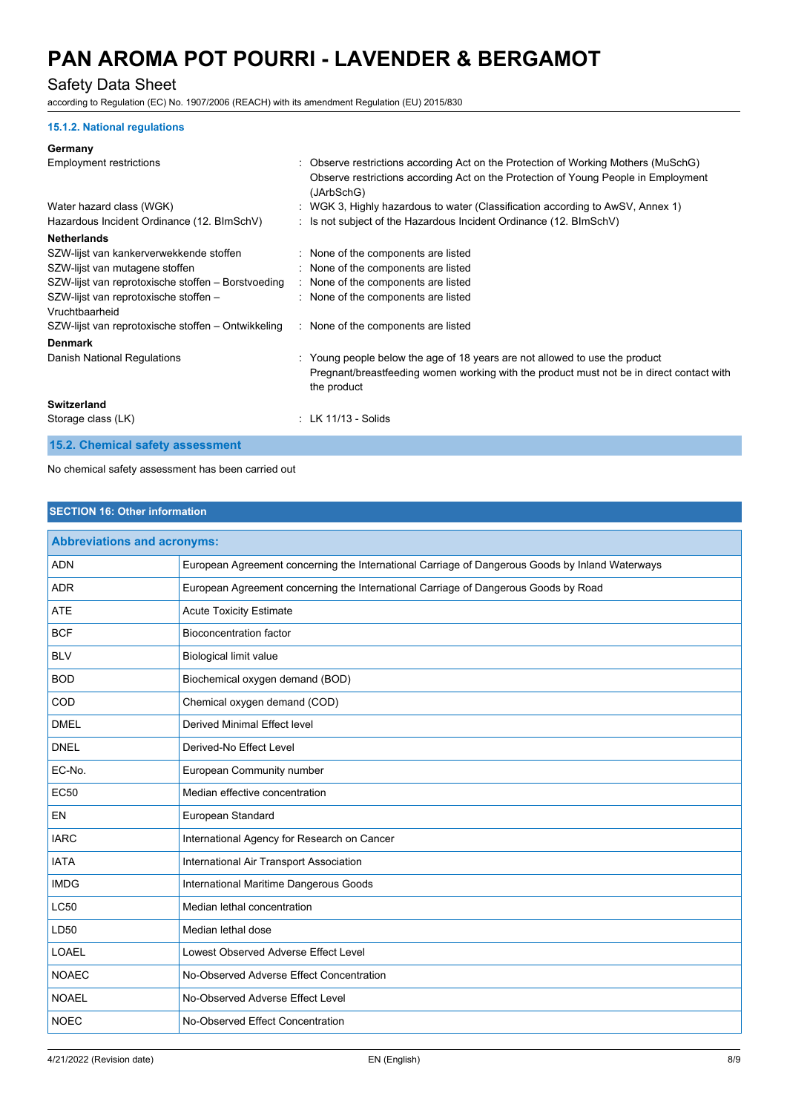## Safety Data Sheet

according to Regulation (EC) No. 1907/2006 (REACH) with its amendment Regulation (EU) 2015/830

#### **15.1.2. National regulations**

#### **Germany**

| <b>Employment restrictions</b>                          | : Observe restrictions according Act on the Protection of Working Mothers (MuSchG)<br>Observe restrictions according Act on the Protection of Young People in Employment<br>(JArbSchG) |
|---------------------------------------------------------|----------------------------------------------------------------------------------------------------------------------------------------------------------------------------------------|
| Water hazard class (WGK)                                | : WGK 3, Highly hazardous to water (Classification according to AwSV, Annex 1)                                                                                                         |
| Hazardous Incident Ordinance (12. BImSchV)              | : Is not subject of the Hazardous Incident Ordinance (12. BImSchV)                                                                                                                     |
| <b>Netherlands</b>                                      |                                                                                                                                                                                        |
| SZW-lijst van kankerverwekkende stoffen                 | : None of the components are listed                                                                                                                                                    |
| SZW-lijst van mutagene stoffen                          | : None of the components are listed                                                                                                                                                    |
| SZW-lijst van reprotoxische stoffen – Borstvoeding      | : None of the components are listed                                                                                                                                                    |
| SZW-lijst van reprotoxische stoffen -<br>Vruchtbaarheid | : None of the components are listed                                                                                                                                                    |
| SZW-lijst van reprotoxische stoffen - Ontwikkeling      | : None of the components are listed                                                                                                                                                    |
| <b>Denmark</b>                                          |                                                                                                                                                                                        |
| Danish National Regulations                             | : Young people below the age of 18 years are not allowed to use the product<br>Pregnant/breastfeeding women working with the product must not be in direct contact with<br>the product |
| Switzerland                                             |                                                                                                                                                                                        |
| Storage class (LK)                                      | $:$ LK 11/13 - Solids                                                                                                                                                                  |
| 15.2. Chemical safety assessment                        |                                                                                                                                                                                        |

No chemical safety assessment has been carried out

### **SECTION 16: Other information**

| <b>Abbreviations and acronyms:</b> |                                                                                                 |
|------------------------------------|-------------------------------------------------------------------------------------------------|
| <b>ADN</b>                         | European Agreement concerning the International Carriage of Dangerous Goods by Inland Waterways |
| <b>ADR</b>                         | European Agreement concerning the International Carriage of Dangerous Goods by Road             |
| <b>ATE</b>                         | <b>Acute Toxicity Estimate</b>                                                                  |
| <b>BCF</b>                         | <b>Bioconcentration factor</b>                                                                  |
| <b>BLV</b>                         | <b>Biological limit value</b>                                                                   |
| <b>BOD</b>                         | Biochemical oxygen demand (BOD)                                                                 |
| COD                                | Chemical oxygen demand (COD)                                                                    |
| <b>DMEL</b>                        | Derived Minimal Effect level                                                                    |
| <b>DNEL</b>                        | Derived-No Effect Level                                                                         |
| EC-No.                             | European Community number                                                                       |
| <b>EC50</b>                        | Median effective concentration                                                                  |
| EN                                 | European Standard                                                                               |
| <b>IARC</b>                        | International Agency for Research on Cancer                                                     |
| <b>IATA</b>                        | International Air Transport Association                                                         |
| <b>IMDG</b>                        | International Maritime Dangerous Goods                                                          |
| <b>LC50</b>                        | Median lethal concentration                                                                     |
| LD50                               | Median lethal dose                                                                              |
| <b>LOAEL</b>                       | Lowest Observed Adverse Effect Level                                                            |
| <b>NOAEC</b>                       | No-Observed Adverse Effect Concentration                                                        |
| <b>NOAEL</b>                       | No-Observed Adverse Effect Level                                                                |
| <b>NOEC</b>                        | No-Observed Effect Concentration                                                                |